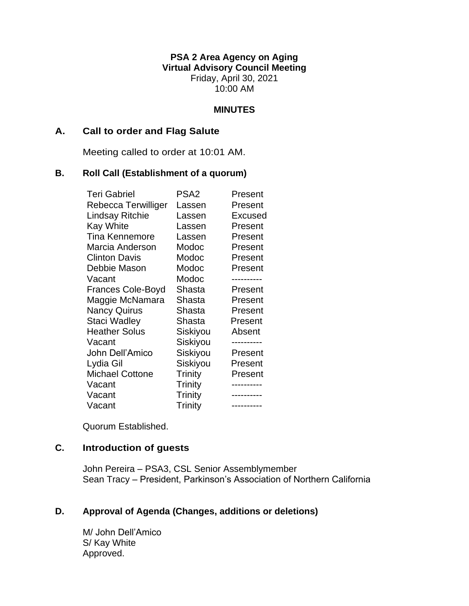**PSA 2 Area Agency on Aging Virtual Advisory Council Meeting** Friday, April 30, 2021 10:00 AM

### **MINUTES**

### **A. Call to order and Flag Salute**

Meeting called to order at 10:01 AM.

### **B. Roll Call (Establishment of a quorum)**

| <b>Teri Gabriel</b>      | PSA <sub>2</sub> | Present    |
|--------------------------|------------------|------------|
| Rebecca Terwilliger      | Lassen           | Present    |
| Lindsay Ritchie          | Lassen           | Excused    |
| <b>Kay White</b>         | Lassen           | Present    |
| <b>Tina Kennemore</b>    | Lassen           | Present    |
| Marcia Anderson          | Modoc            | Present    |
| <b>Clinton Davis</b>     | Modoc            | Present    |
| Debbie Mason             | Modoc            | Present    |
| Vacant                   | Modoc            |            |
| <b>Frances Cole-Boyd</b> | Shasta           | Present    |
| Maggie McNamara          | Shasta           | Present    |
| <b>Nancy Quirus</b>      | Shasta           | Present    |
| Staci Wadley             | Shasta           | Present    |
| <b>Heather Solus</b>     | Siskiyou         | Absent     |
| Vacant                   | Siskiyou         |            |
| John Dell'Amico          | Siskiyou         | Present    |
| Lydia Gil                | Siskiyou         | Present    |
| <b>Michael Cottone</b>   | Trinity          | Present    |
| Vacant                   | <b>Trinity</b>   |            |
| Vacant                   | Trinity          |            |
| Vacant                   | Trinity          | ---------- |

Quorum Established.

# **C. Introduction of guests**

John Pereira – PSA3, CSL Senior Assemblymember Sean Tracy – President, Parkinson's Association of Northern California

# **D. Approval of Agenda (Changes, additions or deletions)**

M/ John Dell'Amico S/ Kay White Approved.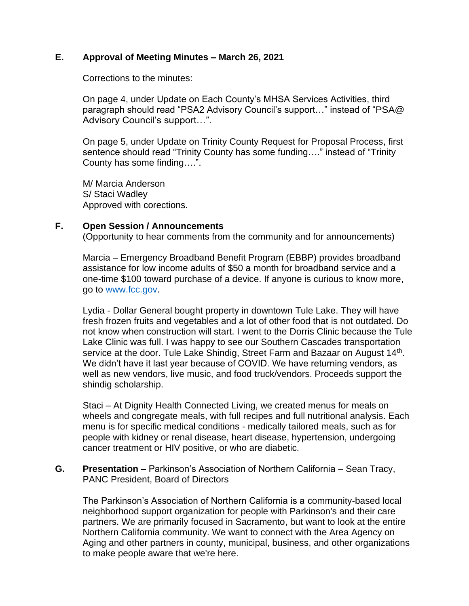## **E. Approval of Meeting Minutes – March 26, 2021**

Corrections to the minutes:

On page 4, under Update on Each County's MHSA Services Activities, third paragraph should read "PSA2 Advisory Council's support…" instead of "PSA@ Advisory Council's support…".

On page 5, under Update on Trinity County Request for Proposal Process, first sentence should read "Trinity County has some funding…." instead of "Trinity County has some finding….".

M/ Marcia Anderson S/ Staci Wadley Approved with corections.

## **F. Open Session / Announcements**

(Opportunity to hear comments from the community and for announcements)

Marcia – Emergency Broadband Benefit Program (EBBP) provides broadband assistance for low income adults of \$50 a month for broadband service and a one-time \$100 toward purchase of a device. If anyone is curious to know more, go to [www.fcc.gov.](http://www.fcc.gov/)

Lydia - Dollar General bought property in downtown Tule Lake. They will have fresh frozen fruits and vegetables and a lot of other food that is not outdated. Do not know when construction will start. I went to the Dorris Clinic because the Tule Lake Clinic was full. I was happy to see our Southern Cascades transportation service at the door. Tule Lake Shindig, Street Farm and Bazaar on August 14<sup>th</sup>. We didn't have it last year because of COVID. We have returning vendors, as well as new vendors, live music, and food truck/vendors. Proceeds support the shindig scholarship.

Staci – At Dignity Health Connected Living, we created menus for meals on wheels and congregate meals, with full recipes and full nutritional analysis. Each menu is for specific medical conditions - medically tailored meals, such as for people with kidney or renal disease, heart disease, hypertension, undergoing cancer treatment or HIV positive, or who are diabetic.

**G. Presentation –** Parkinson's Association of Northern California – Sean Tracy, PANC President, Board of Directors

The Parkinson's Association of Northern California is a community-based local neighborhood support organization for people with Parkinson's and their care partners. We are primarily focused in Sacramento, but want to look at the entire Northern California community. We want to connect with the Area Agency on Aging and other partners in county, municipal, business, and other organizations to make people aware that we're here.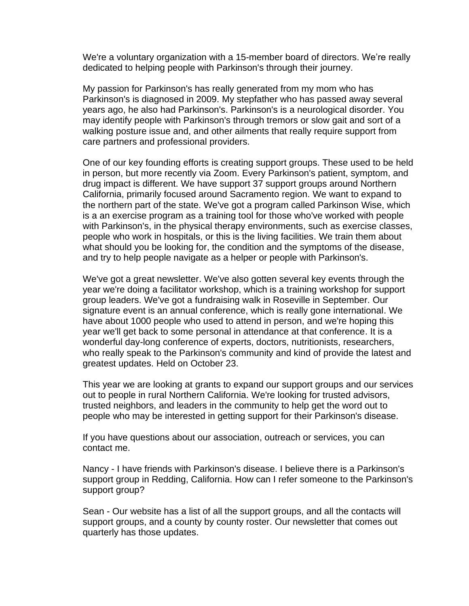We're a voluntary organization with a 15-member board of directors. We're really dedicated to helping people with Parkinson's through their journey.

My passion for Parkinson's has really generated from my mom who has Parkinson's is diagnosed in 2009. My stepfather who has passed away several years ago, he also had Parkinson's. Parkinson's is a neurological disorder. You may identify people with Parkinson's through tremors or slow gait and sort of a walking posture issue and, and other ailments that really require support from care partners and professional providers.

One of our key founding efforts is creating support groups. These used to be held in person, but more recently via Zoom. Every Parkinson's patient, symptom, and drug impact is different. We have support 37 support groups around Northern California, primarily focused around Sacramento region. We want to expand to the northern part of the state. We've got a program called Parkinson Wise, which is a an exercise program as a training tool for those who've worked with people with Parkinson's, in the physical therapy environments, such as exercise classes, people who work in hospitals, or this is the living facilities. We train them about what should you be looking for, the condition and the symptoms of the disease, and try to help people navigate as a helper or people with Parkinson's.

We've got a great newsletter. We've also gotten several key events through the year we're doing a facilitator workshop, which is a training workshop for support group leaders. We've got a fundraising walk in Roseville in September. Our signature event is an annual conference, which is really gone international. We have about 1000 people who used to attend in person, and we're hoping this year we'll get back to some personal in attendance at that conference. It is a wonderful day-long conference of experts, doctors, nutritionists, researchers, who really speak to the Parkinson's community and kind of provide the latest and greatest updates. Held on October 23.

This year we are looking at grants to expand our support groups and our services out to people in rural Northern California. We're looking for trusted advisors, trusted neighbors, and leaders in the community to help get the word out to people who may be interested in getting support for their Parkinson's disease.

If you have questions about our association, outreach or services, you can contact me.

Nancy - I have friends with Parkinson's disease. I believe there is a Parkinson's support group in Redding, California. How can I refer someone to the Parkinson's support group?

Sean - Our website has a list of all the support groups, and all the contacts will support groups, and a county by county roster. Our newsletter that comes out quarterly has those updates.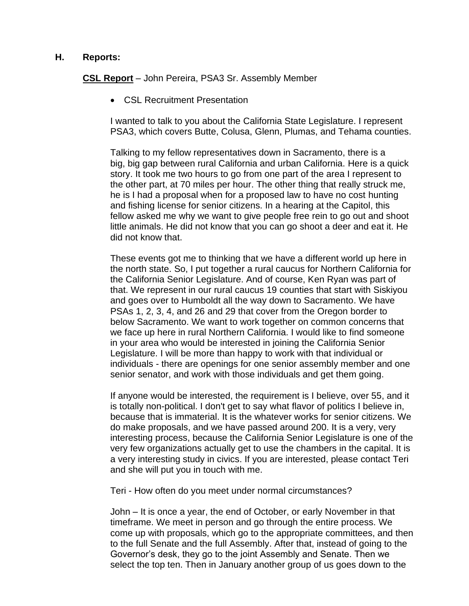#### **H. Reports:**

**CSL Report** – John Pereira, PSA3 Sr. Assembly Member

• CSL Recruitment Presentation

I wanted to talk to you about the California State Legislature. I represent PSA3, which covers Butte, Colusa, Glenn, Plumas, and Tehama counties.

Talking to my fellow representatives down in Sacramento, there is a big, big gap between rural California and urban California. Here is a quick story. It took me two hours to go from one part of the area I represent to the other part, at 70 miles per hour. The other thing that really struck me, he is I had a proposal when for a proposed law to have no cost hunting and fishing license for senior citizens. In a hearing at the Capitol, this fellow asked me why we want to give people free rein to go out and shoot little animals. He did not know that you can go shoot a deer and eat it. He did not know that.

These events got me to thinking that we have a different world up here in the north state. So, I put together a rural caucus for Northern California for the California Senior Legislature. And of course, Ken Ryan was part of that. We represent in our rural caucus 19 counties that start with Siskiyou and goes over to Humboldt all the way down to Sacramento. We have PSAs 1, 2, 3, 4, and 26 and 29 that cover from the Oregon border to below Sacramento. We want to work together on common concerns that we face up here in rural Northern California. I would like to find someone in your area who would be interested in joining the California Senior Legislature. I will be more than happy to work with that individual or individuals - there are openings for one senior assembly member and one senior senator, and work with those individuals and get them going.

If anyone would be interested, the requirement is I believe, over 55, and it is totally non-political. I don't get to say what flavor of politics I believe in, because that is immaterial. It is the whatever works for senior citizens. We do make proposals, and we have passed around 200. It is a very, very interesting process, because the California Senior Legislature is one of the very few organizations actually get to use the chambers in the capital. It is a very interesting study in civics. If you are interested, please contact Teri and she will put you in touch with me.

Teri - How often do you meet under normal circumstances?

John – It is once a year, the end of October, or early November in that timeframe. We meet in person and go through the entire process. We come up with proposals, which go to the appropriate committees, and then to the full Senate and the full Assembly. After that, instead of going to the Governor's desk, they go to the joint Assembly and Senate. Then we select the top ten. Then in January another group of us goes down to the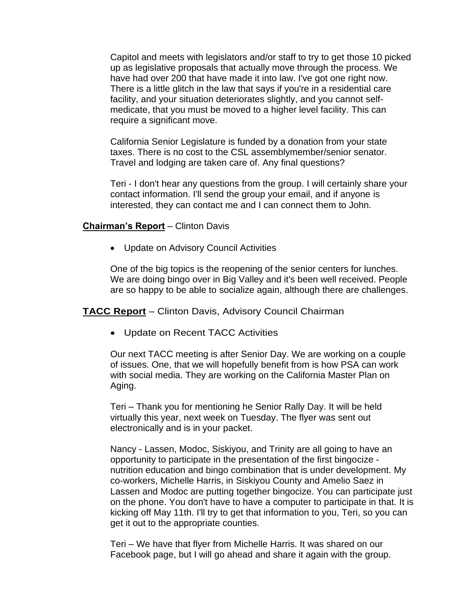Capitol and meets with legislators and/or staff to try to get those 10 picked up as legislative proposals that actually move through the process. We have had over 200 that have made it into law. I've got one right now. There is a little glitch in the law that says if you're in a residential care facility, and your situation deteriorates slightly, and you cannot selfmedicate, that you must be moved to a higher level facility. This can require a significant move.

California Senior Legislature is funded by a donation from your state taxes. There is no cost to the CSL assemblymember/senior senator. Travel and lodging are taken care of. Any final questions?

Teri - I don't hear any questions from the group. I will certainly share your contact information. I'll send the group your email, and if anyone is interested, they can contact me and I can connect them to John.

#### **Chairman's Report** – Clinton Davis

• Update on Advisory Council Activities

One of the big topics is the reopening of the senior centers for lunches. We are doing bingo over in Big Valley and it's been well received. People are so happy to be able to socialize again, although there are challenges.

**TACC Report** – Clinton Davis, Advisory Council Chairman

• Update on Recent TACC Activities

Our next TACC meeting is after Senior Day. We are working on a couple of issues. One, that we will hopefully benefit from is how PSA can work with social media. They are working on the California Master Plan on Aging.

Teri – Thank you for mentioning he Senior Rally Day. It will be held virtually this year, next week on Tuesday. The flyer was sent out electronically and is in your packet.

Nancy - Lassen, Modoc, Siskiyou, and Trinity are all going to have an opportunity to participate in the presentation of the first bingocize nutrition education and bingo combination that is under development. My co-workers, Michelle Harris, in Siskiyou County and Amelio Saez in Lassen and Modoc are putting together bingocize. You can participate just on the phone. You don't have to have a computer to participate in that. It is kicking off May 11th. I'll try to get that information to you, Teri, so you can get it out to the appropriate counties.

Teri – We have that flyer from Michelle Harris. It was shared on our Facebook page, but I will go ahead and share it again with the group.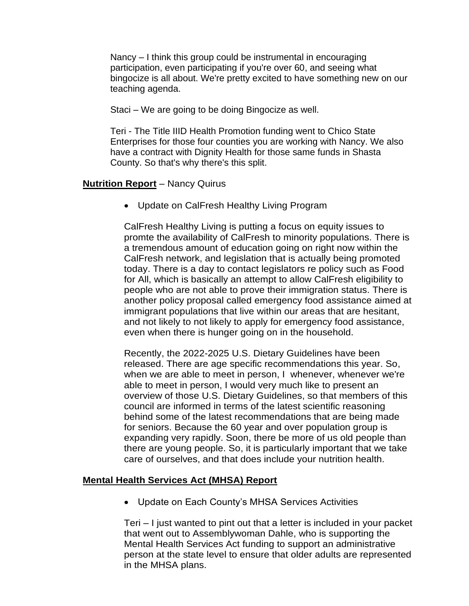Nancy – I think this group could be instrumental in encouraging participation, even participating if you're over 60, and seeing what bingocize is all about. We're pretty excited to have something new on our teaching agenda.

Staci – We are going to be doing Bingocize as well.

Teri - The Title IIID Health Promotion funding went to Chico State Enterprises for those four counties you are working with Nancy. We also have a contract with Dignity Health for those same funds in Shasta County. So that's why there's this split.

## **Nutrition Report** – Nancy Quirus

• Update on CalFresh Healthy Living Program

CalFresh Healthy Living is putting a focus on equity issues to promte the availability of CalFresh to minority populations. There is a tremendous amount of education going on right now within the CalFresh network, and legislation that is actually being promoted today. There is a day to contact legislators re policy such as Food for All, which is basically an attempt to allow CalFresh eligibility to people who are not able to prove their immigration status. There is another policy proposal called emergency food assistance aimed at immigrant populations that live within our areas that are hesitant, and not likely to not likely to apply for emergency food assistance, even when there is hunger going on in the household.

Recently, the 2022-2025 U.S. Dietary Guidelines have been released. There are age specific recommendations this year. So, when we are able to meet in person, I whenever, whenever we're able to meet in person, I would very much like to present an overview of those U.S. Dietary Guidelines, so that members of this council are informed in terms of the latest scientific reasoning behind some of the latest recommendations that are being made for seniors. Because the 60 year and over population group is expanding very rapidly. Soon, there be more of us old people than there are young people. So, it is particularly important that we take care of ourselves, and that does include your nutrition health.

## **Mental Health Services Act (MHSA) Report**

• Update on Each County's MHSA Services Activities

Teri – I just wanted to pint out that a letter is included in your packet that went out to Assemblywoman Dahle, who is supporting the Mental Health Services Act funding to support an administrative person at the state level to ensure that older adults are represented in the MHSA plans.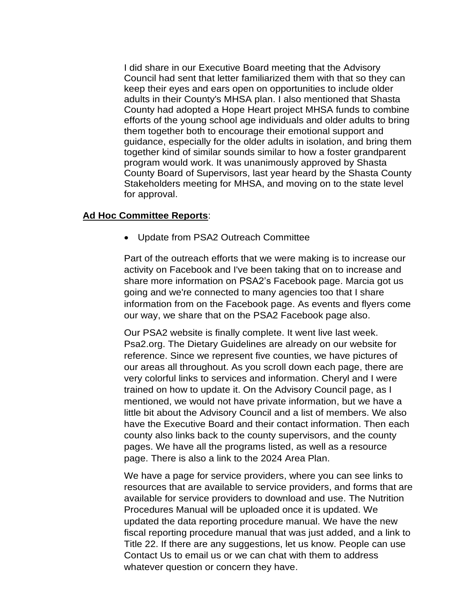I did share in our Executive Board meeting that the Advisory Council had sent that letter familiarized them with that so they can keep their eyes and ears open on opportunities to include older adults in their County's MHSA plan. I also mentioned that Shasta County had adopted a Hope Heart project MHSA funds to combine efforts of the young school age individuals and older adults to bring them together both to encourage their emotional support and guidance, especially for the older adults in isolation, and bring them together kind of similar sounds similar to how a foster grandparent program would work. It was unanimously approved by Shasta County Board of Supervisors, last year heard by the Shasta County Stakeholders meeting for MHSA, and moving on to the state level for approval.

#### **Ad Hoc Committee Reports**:

• Update from PSA2 Outreach Committee

Part of the outreach efforts that we were making is to increase our activity on Facebook and I've been taking that on to increase and share more information on PSA2's Facebook page. Marcia got us going and we're connected to many agencies too that I share information from on the Facebook page. As events and flyers come our way, we share that on the PSA2 Facebook page also.

Our PSA2 website is finally complete. It went live last week. Psa2.org. The Dietary Guidelines are already on our website for reference. Since we represent five counties, we have pictures of our areas all throughout. As you scroll down each page, there are very colorful links to services and information. Cheryl and I were trained on how to update it. On the Advisory Council page, as I mentioned, we would not have private information, but we have a little bit about the Advisory Council and a list of members. We also have the Executive Board and their contact information. Then each county also links back to the county supervisors, and the county pages. We have all the programs listed, as well as a resource page. There is also a link to the 2024 Area Plan.

We have a page for service providers, where you can see links to resources that are available to service providers, and forms that are available for service providers to download and use. The Nutrition Procedures Manual will be uploaded once it is updated. We updated the data reporting procedure manual. We have the new fiscal reporting procedure manual that was just added, and a link to Title 22. If there are any suggestions, let us know. People can use Contact Us to email us or we can chat with them to address whatever question or concern they have.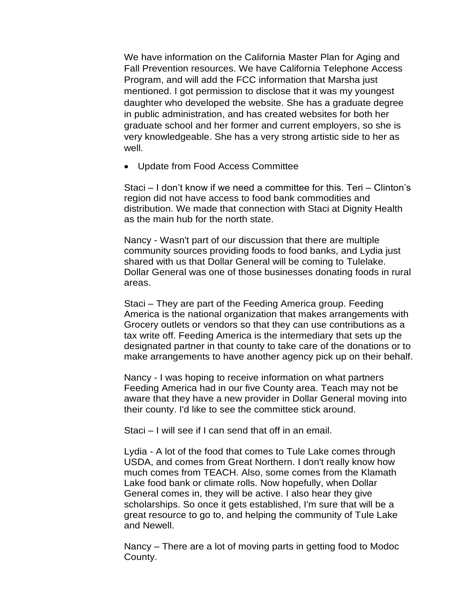We have information on the California Master Plan for Aging and Fall Prevention resources. We have California Telephone Access Program, and will add the FCC information that Marsha just mentioned. I got permission to disclose that it was my youngest daughter who developed the website. She has a graduate degree in public administration, and has created websites for both her graduate school and her former and current employers, so she is very knowledgeable. She has a very strong artistic side to her as well.

• Update from Food Access Committee

Staci – I don't know if we need a committee for this. Teri – Clinton's region did not have access to food bank commodities and distribution. We made that connection with Staci at Dignity Health as the main hub for the north state.

Nancy - Wasn't part of our discussion that there are multiple community sources providing foods to food banks, and Lydia just shared with us that Dollar General will be coming to Tulelake. Dollar General was one of those businesses donating foods in rural areas.

Staci – They are part of the Feeding America group. Feeding America is the national organization that makes arrangements with Grocery outlets or vendors so that they can use contributions as a tax write off. Feeding America is the intermediary that sets up the designated partner in that county to take care of the donations or to make arrangements to have another agency pick up on their behalf.

Nancy - I was hoping to receive information on what partners Feeding America had in our five County area. Teach may not be aware that they have a new provider in Dollar General moving into their county. I'd like to see the committee stick around.

Staci – I will see if I can send that off in an email.

Lydia - A lot of the food that comes to Tule Lake comes through USDA, and comes from Great Northern. I don't really know how much comes from TEACH. Also, some comes from the Klamath Lake food bank or climate rolls. Now hopefully, when Dollar General comes in, they will be active. I also hear they give scholarships. So once it gets established, I'm sure that will be a great resource to go to, and helping the community of Tule Lake and Newell.

Nancy – There are a lot of moving parts in getting food to Modoc County.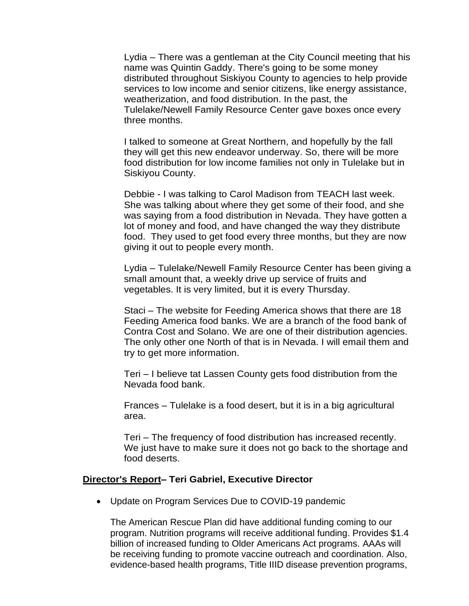Lydia – There was a gentleman at the City Council meeting that his name was Quintin Gaddy. There's going to be some money distributed throughout Siskiyou County to agencies to help provide services to low income and senior citizens, like energy assistance, weatherization, and food distribution. In the past, the Tulelake/Newell Family Resource Center gave boxes once every three months.

I talked to someone at Great Northern, and hopefully by the fall they will get this new endeavor underway. So, there will be more food distribution for low income families not only in Tulelake but in Siskiyou County.

Debbie - I was talking to Carol Madison from TEACH last week. She was talking about where they get some of their food, and she was saying from a food distribution in Nevada. They have gotten a lot of money and food, and have changed the way they distribute food. They used to get food every three months, but they are now giving it out to people every month.

Lydia – Tulelake/Newell Family Resource Center has been giving a small amount that, a weekly drive up service of fruits and vegetables. It is very limited, but it is every Thursday.

Staci – The website for Feeding America shows that there are 18 Feeding America food banks. We are a branch of the food bank of Contra Cost and Solano. We are one of their distribution agencies. The only other one North of that is in Nevada. I will email them and try to get more information.

Teri – I believe tat Lassen County gets food distribution from the Nevada food bank.

Frances – Tulelake is a food desert, but it is in a big agricultural area.

Teri – The frequency of food distribution has increased recently. We just have to make sure it does not go back to the shortage and food deserts.

#### **Director's Report– Teri Gabriel, Executive Director**

• Update on Program Services Due to COVID-19 pandemic

The American Rescue Plan did have additional funding coming to our program. Nutrition programs will receive additional funding. Provides \$1.4 billion of increased funding to Older Americans Act programs. AAAs will be receiving funding to promote vaccine outreach and coordination. Also, evidence-based health programs, Title IIID disease prevention programs,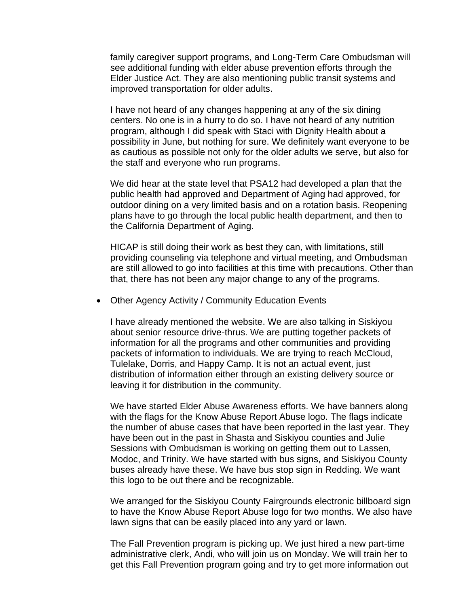family caregiver support programs, and Long-Term Care Ombudsman will see additional funding with elder abuse prevention efforts through the Elder Justice Act. They are also mentioning public transit systems and improved transportation for older adults.

I have not heard of any changes happening at any of the six dining centers. No one is in a hurry to do so. I have not heard of any nutrition program, although I did speak with Staci with Dignity Health about a possibility in June, but nothing for sure. We definitely want everyone to be as cautious as possible not only for the older adults we serve, but also for the staff and everyone who run programs.

We did hear at the state level that PSA12 had developed a plan that the public health had approved and Department of Aging had approved, for outdoor dining on a very limited basis and on a rotation basis. Reopening plans have to go through the local public health department, and then to the California Department of Aging.

HICAP is still doing their work as best they can, with limitations, still providing counseling via telephone and virtual meeting, and Ombudsman are still allowed to go into facilities at this time with precautions. Other than that, there has not been any major change to any of the programs.

• Other Agency Activity / Community Education Events

I have already mentioned the website. We are also talking in Siskiyou about senior resource drive-thrus. We are putting together packets of information for all the programs and other communities and providing packets of information to individuals. We are trying to reach McCloud, Tulelake, Dorris, and Happy Camp. It is not an actual event, just distribution of information either through an existing delivery source or leaving it for distribution in the community.

We have started Elder Abuse Awareness efforts. We have banners along with the flags for the Know Abuse Report Abuse logo. The flags indicate the number of abuse cases that have been reported in the last year. They have been out in the past in Shasta and Siskiyou counties and Julie Sessions with Ombudsman is working on getting them out to Lassen, Modoc, and Trinity. We have started with bus signs, and Siskiyou County buses already have these. We have bus stop sign in Redding. We want this logo to be out there and be recognizable.

We arranged for the Siskiyou County Fairgrounds electronic billboard sign to have the Know Abuse Report Abuse logo for two months. We also have lawn signs that can be easily placed into any yard or lawn.

The Fall Prevention program is picking up. We just hired a new part-time administrative clerk, Andi, who will join us on Monday. We will train her to get this Fall Prevention program going and try to get more information out